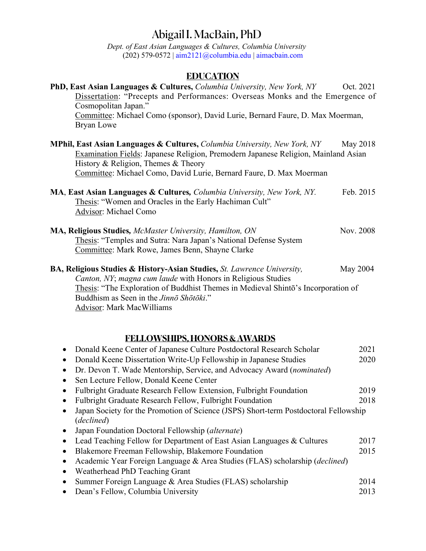# Abigail I. MacBain, PhD

*Dept. of East Asian Languages & Cultures, Columbia University* (202) 579-0572 | aim2121@columbia.edu | aimacbain.com

# **EDUCATION**

| <b>PhD, East Asian Languages &amp; Cultures, Columbia University, New York, NY</b>                                                                                                                                                                                                              | Oct. 2021 |
|-------------------------------------------------------------------------------------------------------------------------------------------------------------------------------------------------------------------------------------------------------------------------------------------------|-----------|
| Dissertation: "Precepts and Performances: Overseas Monks and the Emergence of<br>Cosmopolitan Japan."                                                                                                                                                                                           |           |
| Committee: Michael Como (sponsor), David Lurie, Bernard Faure, D. Max Moerman,<br>Bryan Lowe                                                                                                                                                                                                    |           |
| <b>MPhil, East Asian Languages &amp; Cultures, Columbia University, New York, NY</b><br><b>Examination Fields: Japanese Religion, Premodern Japanese Religion, Mainland Asian</b><br>History & Religion, Themes & Theory<br>Committee: Michael Como, David Lurie, Bernard Faure, D. Max Moerman | May 2018  |
|                                                                                                                                                                                                                                                                                                 |           |
| <b>MA, East Asian Languages &amp; Cultures, Columbia University, New York, NY.</b><br>Thesis: "Women and Oracles in the Early Hachiman Cult"<br>Advisor: Michael Como                                                                                                                           | Feb. 2015 |
| <b>MA, Religious Studies, McMaster University, Hamilton, ON</b>                                                                                                                                                                                                                                 | Nov. 2008 |
| Thesis: "Temples and Sutra: Nara Japan's National Defense System<br>Committee: Mark Rowe, James Benn, Shayne Clarke                                                                                                                                                                             |           |
| <b>BA, Religious Studies &amp; History-Asian Studies, St. Lawrence University,</b><br>Canton, NY; magna cum laude with Honors in Religious Studies                                                                                                                                              | May 2004  |
| Thesis: "The Exploration of Buddhist Themes in Medieval Shinto's Incorporation of<br>Buddhism as Seen in the Jinno Shotoki."                                                                                                                                                                    |           |

Advisor: Mark MacWilliams

# **FELLOWSHIPS, HONORS & AWARDS**

|           | Donald Keene Center of Japanese Culture Postdoctoral Research Scholar                              | 2021 |
|-----------|----------------------------------------------------------------------------------------------------|------|
|           | Donald Keene Dissertation Write-Up Fellowship in Japanese Studies                                  | 2020 |
| $\bullet$ | Dr. Devon T. Wade Mentorship, Service, and Advocacy Award (nominated)                              |      |
|           | Sen Lecture Fellow, Donald Keene Center                                                            |      |
|           | Fulbright Graduate Research Fellow Extension, Fulbright Foundation                                 | 2019 |
|           | Fulbright Graduate Research Fellow, Fulbright Foundation                                           | 2018 |
| $\bullet$ | Japan Society for the Promotion of Science (JSPS) Short-term Postdoctoral Fellowship<br>(declined) |      |
|           | Japan Foundation Doctoral Fellowship (alternate)                                                   |      |
| $\bullet$ | Lead Teaching Fellow for Department of East Asian Languages & Cultures                             | 2017 |
|           | Blakemore Freeman Fellowship, Blakemore Foundation                                                 | 2015 |
| $\bullet$ | Academic Year Foreign Language & Area Studies (FLAS) scholarship ( <i>declined</i> )               |      |
|           | Weatherhead PhD Teaching Grant                                                                     |      |
| $\bullet$ | Summer Foreign Language & Area Studies (FLAS) scholarship                                          | 2014 |
|           | Dean's Fellow, Columbia University                                                                 | 2013 |
|           |                                                                                                    |      |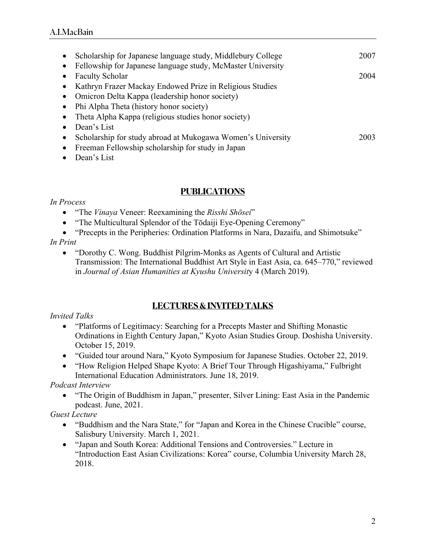| Scholarship for Japanese language study, Middlebury College | 2007 |
|-------------------------------------------------------------|------|
| Fellowship for Japanese language study, McMaster University |      |
| <b>Faculty Scholar</b>                                      | 2004 |
| Kathryn Frazer Mackay Endowed Prize in Religious Studies    |      |
| Omicron Delta Kappa (leadership honor society)              |      |
| Phi Alpha Theta (history honor society)                     |      |
| Theta Alpha Kappa (religious studies honor society)         |      |
| Dean's List                                                 |      |
| Scholarship for study abroad at Mukogawa Women's University | 2003 |
| Freeman Fellowship scholarship for study in Japan           |      |
|                                                             |      |

• Dean's List

# **PUBLICATIONS**

### *In Process*

- "The *Vinaya* Veneer: Reexamining the *Risshi Shōsei*"
- "The Multicultural Splendor of the Tōdaiji Eye-Opening Ceremony"
- "Precepts in the Peripheries: Ordination Platforms in Nara, Dazaifu, and Shimotsuke" *In Print*
	- "Dorothy C. Wong. Buddhist Pilgrim-Monks as Agents of Cultural and Artistic Transmission: The International Buddhist Art Style in East Asia, ca. 645–770," reviewed in *Journal of Asian Humanities at Kyushu Universit*y 4 (March 2019).

# **LECTURES & INVITED TALKS**

### *Invited Talks*

- "Platforms of Legitimacy: Searching for a Precepts Master and Shifting Monastic Ordinations in Eighth Century Japan," Kyoto Asian Studies Group. Doshisha University. October 15, 2019.
- "Guided tour around Nara," Kyoto Symposium for Japanese Studies. October 22, 2019.
- "How Religion Helped Shape Kyoto: A Brief Tour Through Higashiyama," Fulbright International Education Administrators. June 18, 2019.

### *Podcast Interview*

• "The Origin of Buddhism in Japan," presenter, Silver Lining: East Asia in the Pandemic podcast. June, 2021.

### *Guest Lecture*

- "Buddhism and the Nara State," for "Japan and Korea in the Chinese Crucible" course, Salisbury University. March 1, 2021.
- "Japan and South Korea: Additional Tensions and Controversies." Lecture in "Introduction East Asian Civilizations: Korea" course, Columbia University March 28, 2018.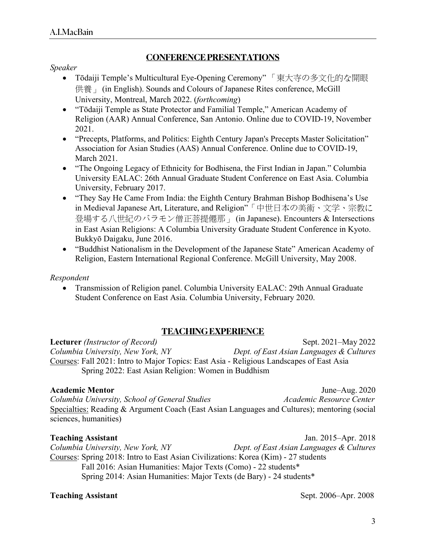# **CONFERENCE PRESENTATIONS**

### *Speaker*

- Tōdaiji Temple's Multicultural Eye-Opening Ceremony"「東大寺の多文化的な開眼 供養 | (in English). Sounds and Colours of Japanese Rites conference, McGill University, Montreal, March 2022. (*forthcoming*)
- "Tōdaiji Temple as State Protector and Familial Temple," American Academy of Religion (AAR) Annual Conference, San Antonio. Online due to COVID-19, November 2021.
- "Precepts, Platforms, and Politics: Eighth Century Japan's Precepts Master Solicitation" Association for Asian Studies (AAS) Annual Conference. Online due to COVID-19, March 2021.
- "The Ongoing Legacy of Ethnicity for Bodhisena, the First Indian in Japan." Columbia University EALAC: 26th Annual Graduate Student Conference on East Asia. Columbia University, February 2017.
- "They Say He Came From India: the Eighth Century Brahman Bishop Bodhisena's Use in Medieval Japanese Art, Literature, and Religion"「中世日本の美術、文学、宗教に 登場する八世紀のバラモン僧正菩提僊那」 (in Japanese). Encounters & Intersections in East Asian Religions: A Columbia University Graduate Student Conference in Kyoto. Bukkyō Daigaku, June 2016.
- "Buddhist Nationalism in the Development of the Japanese State" American Academy of Religion, Eastern International Regional Conference. McGill University, May 2008.

### *Respondent*

• Transmission of Religion panel. Columbia University EALAC: 29th Annual Graduate Student Conference on East Asia. Columbia University, February 2020.

### **TEACHING EXPERIENCE**

**Lecturer** *(Instructor of Record)* Sept. 2021–May 2022 *Columbia University, New York, NY Dept. of East Asian Languages & Cultures* Courses: Fall 2021: Intro to Major Topics: East Asia - Religious Landscapes of East Asia Spring 2022: East Asian Religion: Women in Buddhism

**Academic Mentor** June–Aug. 2020 *Columbia University, School of General Studies Academic Resource Center* Specialties: Reading & Argument Coach (East Asian Languages and Cultures); mentoring (social sciences, humanities)

**Teaching Assistant** Jan. 2015–Apr. 2018 *Columbia University, New York, NY Dept. of East Asian Languages & Cultures* Courses: Spring 2018: Intro to East Asian Civilizations: Korea (Kim) - 27 students Fall 2016: Asian Humanities: Major Texts (Como) - 22 students\* Spring 2014: Asian Humanities: Major Texts (de Bary) - 24 students\*

**Teaching Assistant** Sept. 2006–Apr. 2008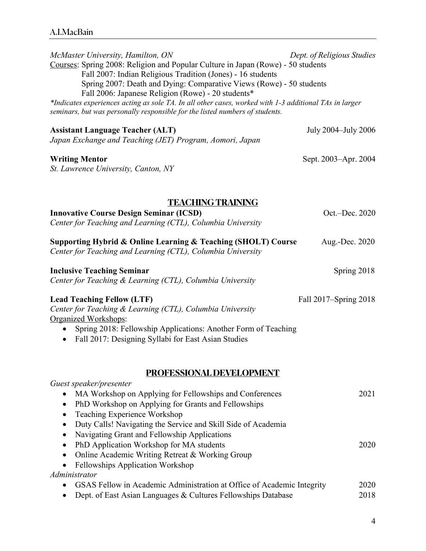| McMaster University, Hamilton, ON<br>Courses: Spring 2008: Religion and Popular Culture in Japan (Rowe) - 50 students<br>Fall 2007: Indian Religious Tradition (Jones) - 16 students                                                                                                                                 | Dept. of Religious Studies |  |  |
|----------------------------------------------------------------------------------------------------------------------------------------------------------------------------------------------------------------------------------------------------------------------------------------------------------------------|----------------------------|--|--|
| Spring 2007: Death and Dying: Comparative Views (Rowe) - 50 students<br>Fall 2006: Japanese Religion (Rowe) - 20 students*<br>*Indicates experiences acting as sole TA. In all other cases, worked with 1-3 additional TAs in larger<br>seminars, but was personally responsible for the listed numbers of students. |                            |  |  |
| <b>Assistant Language Teacher (ALT)</b><br>Japan Exchange and Teaching (JET) Program, Aomori, Japan                                                                                                                                                                                                                  | July 2004–July 2006        |  |  |
| <b>Writing Mentor</b><br>St. Lawrence University, Canton, NY                                                                                                                                                                                                                                                         | Sept. 2003–Apr. 2004       |  |  |
| <b>TEACHING TRAINING</b>                                                                                                                                                                                                                                                                                             |                            |  |  |
| <b>Innovative Course Design Seminar (ICSD)</b><br>Center for Teaching and Learning (CTL), Columbia University                                                                                                                                                                                                        | Oct.-Dec. 2020             |  |  |
| Supporting Hybrid & Online Learning & Teaching (SHOLT) Course<br>Center for Teaching and Learning (CTL), Columbia University                                                                                                                                                                                         | Aug.-Dec. 2020             |  |  |
| <b>Inclusive Teaching Seminar</b><br>Center for Teaching & Learning (CTL), Columbia University                                                                                                                                                                                                                       | Spring 2018                |  |  |
| <b>Lead Teaching Fellow (LTF)</b><br>Center for Teaching & Learning (CTL), Columbia University<br>Organized Workshops:                                                                                                                                                                                               | Fall 2017–Spring 2018      |  |  |
| Spring 2018: Fellowship Applications: Another Form of Teaching<br>Fall 2017: Designing Syllabi for East Asian Studies<br>٠                                                                                                                                                                                           |                            |  |  |
| PROFESSIONAL DEVELOPMENT                                                                                                                                                                                                                                                                                             |                            |  |  |
| Guest speaker/presenter<br>MA Workshop on Applying for Fellowships and Conferences<br>$\bullet$<br>PhD Workshop on Applying for Grants and Fellowships<br>$\bullet$<br>Teaching Experience Workshop<br>٠<br>Duty Calls! Navigating the Service and Skill Side of Academia<br>$\bullet$                               | 2021                       |  |  |
| Navigating Grant and Fellowship Applications<br>$\bullet$<br>PhD Application Workshop for MA students<br>٠<br>Online Academic Writing Retreat & Working Group<br>$\bullet$<br>Fellowships Application Workshop<br>$\bullet$                                                                                          | 2020                       |  |  |
| Administrator                                                                                                                                                                                                                                                                                                        |                            |  |  |
| GSAS Fellow in Academic Administration at Office of Academic Integrity<br>Dept. of East Asian Languages & Cultures Fellowships Database                                                                                                                                                                              | 2020<br>2018               |  |  |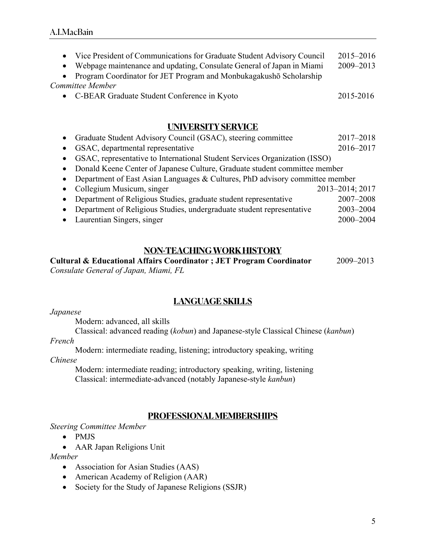| • Vice President of Communications for Graduate Student Advisory Council | 2015–2016 |
|--------------------------------------------------------------------------|-----------|
| • Webpage maintenance and updating, Consulate General of Japan in Miami  | 2009-2013 |
| • Program Coordinator for JET Program and Monbukagakushō Scholarship     |           |
| Committee Member                                                         |           |
| • C-BEAR Graduate Student Conference in Kyoto                            | 2015-2016 |
|                                                                          |           |

### **UNIVERSITY SERVICE**

| Graduate Student Advisory Council (GSAC), steering committee                 | 2017-2018       |
|------------------------------------------------------------------------------|-----------------|
| GSAC, departmental representative                                            | 2016-2017       |
| GSAC, representative to International Student Services Organization (ISSO)   |                 |
| • Donald Keene Center of Japanese Culture, Graduate student committee member |                 |
| Department of East Asian Languages & Cultures, PhD advisory committee member |                 |
| Collegium Musicum, singer                                                    | 2013-2014; 2017 |
| Department of Religious Studies, graduate student representative             | 2007-2008       |
| Department of Religious Studies, undergraduate student representative        | 2003-2004       |
| Laurentian Singers, singer                                                   | 2000-2004       |

# **NON-TEACHING WORK HISTORY**

**Cultural & Educational Affairs Coordinator ; JET Program Coordinator** 2009–2013 *Consulate General of Japan, Miami, FL*

# **LANGUAGE SKILLS**

### *Japanese*

Modern: advanced, all skills

Classical: advanced reading (*kobun*) and Japanese-style Classical Chinese (*kanbun*) *French*

Modern: intermediate reading, listening; introductory speaking, writing

*Chinese*

Modern: intermediate reading; introductory speaking, writing, listening Classical: intermediate-advanced (notably Japanese-style *kanbun*)

# **PROFESSIONAL MEMBERSHIPS**

*Steering Committee Member*

• PMJS

• AAR Japan Religions Unit

*Member*

- Association for Asian Studies (AAS)
- American Academy of Religion (AAR)
- Society for the Study of Japanese Religions (SSJR)